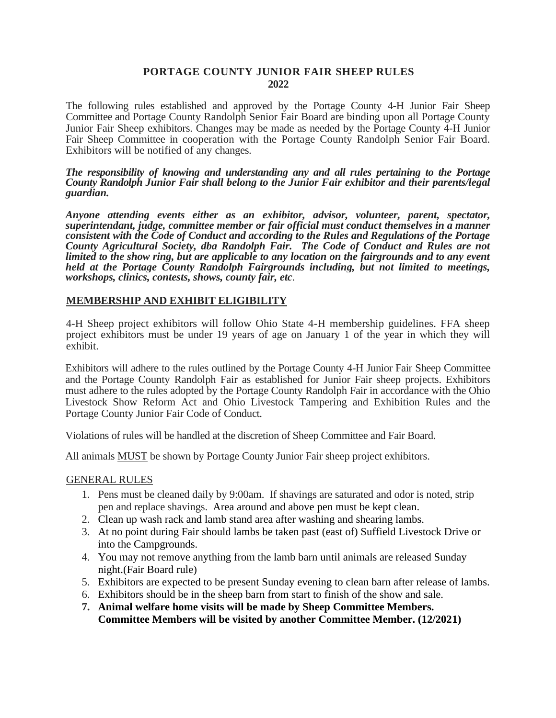#### **PORTAGE COUNTY JUNIOR FAIR SHEEP RULES 2022**

The following rules established and approved by the Portage County 4-H Junior Fair Sheep Committee and Portage County Randolph Senior Fair Board are binding upon all Portage County Junior Fair Sheep exhibitors. Changes may be made as needed by the Portage County 4-H Junior Fair Sheep Committee in cooperation with the Portage County Randolph Senior Fair Board. Exhibitors will be notified of any changes.

#### *The responsibility of knowing and understanding any and all rules pertaining to the Portage County Randolph Junior Fair shall belong to the Junior Fair exhibitor and their parents/legal guardian.*

*Anyone attending events either as an exhibitor, advisor, volunteer, parent, spectator, superintendant, judge, committee member or fair official must conduct themselves in a manner consistent with the Code of Conduct and according to the Rules and Regulations of the Portage County Agricultural Society, dba Randolph Fair. The Code of Conduct and Rules are not limited to the show ring, but are applicable to any location on the fairgrounds and to any event held at the Portage County Randolph Fairgrounds including, but not limited to meetings, workshops, clinics, contests, shows, county fair, etc.*

## **MEMBERSHIP AND EXHIBIT ELIGIBILITY**

4-H Sheep project exhibitors will follow Ohio State 4-H membership guidelines. FFA sheep project exhibitors must be under 19 years of age on January 1 of the year in which they will exhibit.

Exhibitors will adhere to the rules outlined by the Portage County 4-H Junior Fair Sheep Committee and the Portage County Randolph Fair as established for Junior Fair sheep projects. Exhibitors must adhere to the rules adopted by the Portage County Randolph Fair in accordance with the Ohio Livestock Show Reform Act and Ohio Livestock Tampering and Exhibition Rules and the Portage County Junior Fair Code of Conduct.

Violations of rules will be handled at the discretion of Sheep Committee and Fair Board.

All animals MUST be shown by Portage County Junior Fair sheep project exhibitors.

## GENERAL RULES

- 1. Pens must be cleaned daily by 9:00am. If shavings are saturated and odor is noted, strip pen and replace shavings. Area around and above pen must be kept clean.
- 2. Clean up wash rack and lamb stand area after washing and shearing lambs.
- 3. At no point during Fair should lambs be taken past (east of) Suffield Livestock Drive or into the Campgrounds.
- 4. You may not remove anything from the lamb barn until animals are released Sunday night.(Fair Board rule)
- 5. Exhibitors are expected to be present Sunday evening to clean barn after release of lambs.
- 6. Exhibitors should be in the sheep barn from start to finish of the show and sale.
- **7. Animal welfare home visits will be made by Sheep Committee Members. Committee Members will be visited by another Committee Member. (12/2021)**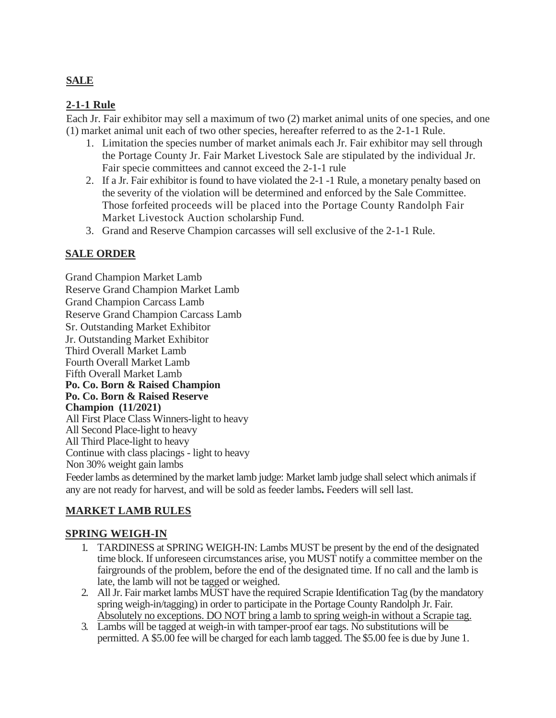# **SALE**

## **2-1-1 Rule**

Each Jr. Fair exhibitor may sell a maximum of two (2) market animal units of one species, and one (1) market animal unit each of two other species, hereafter referred to as the 2-1-1 Rule.

- 1. Limitation the species number of market animals each Jr. Fair exhibitor may sell through the Portage County Jr. Fair Market Livestock Sale are stipulated by the individual Jr. Fair specie committees and cannot exceed the 2-1-1 rule
- 2. If a Jr. Fair exhibitor is found to have violated the 2-1 -1 Rule, a monetary penalty based on the severity of the violation will be determined and enforced by the Sale Committee. Those forfeited proceeds will be placed into the Portage County Randolph Fair Market Livestock Auction scholarship Fund.
- 3. Grand and Reserve Champion carcasses will sell exclusive of the 2-1-1 Rule.

# **SALE ORDER**

Grand Champion Market Lamb Reserve Grand Champion Market Lamb Grand Champion Carcass Lamb Reserve Grand Champion Carcass Lamb Sr. Outstanding Market Exhibitor Jr. Outstanding Market Exhibitor Third Overall Market Lamb Fourth Overall Market Lamb Fifth Overall Market Lamb **Po. Co. Born & Raised Champion Po. Co. Born & Raised Reserve Champion (11/2021)** All First Place Class Winners-light to heavy All Second Place-light to heavy All Third Place-light to heavy Continue with class placings - light to heavy Non 30% weight gain lambs

Feeder lambs as determined by the market lamb judge: Market lamb judge shall select which animals if any are not ready for harvest, and will be sold as feeder lambs**.** Feeders will sell last.

# **MARKET LAMB RULES**

## **SPRING WEIGH-IN**

- 1. TARDINESS at SPRING WEIGH-IN: Lambs MUST be present by the end of the designated time block. If unforeseen circumstances arise, you MUST notify a committee member on the fairgrounds of the problem, before the end of the designated time. If no call and the lamb is late, the lamb will not be tagged or weighed.
- 2. All Jr. Fair market lambs MUST have the required Scrapie Identification Tag (by the mandatory spring weigh-in/tagging) in order to participate in the Portage County Randolph Jr. Fair*.*  Absolutely no exceptions. DO NOT bring a lamb to spring weigh-in without a Scrapie tag.
- 3. Lambs will be tagged at weigh-in with tamper-proof ear tags. No substitutions will be permitted. A \$5.00 fee will be charged for each lamb tagged. The \$5.00 fee is due by June 1.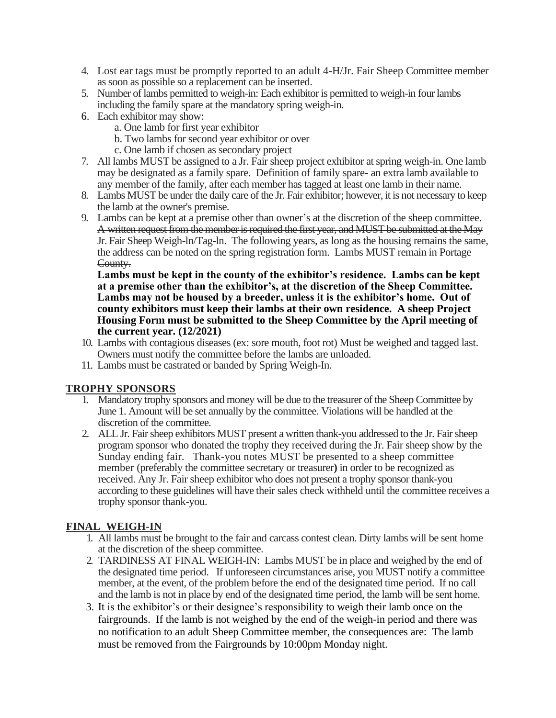- 4. Lost ear tags must be promptly reported to an adult 4-H/Jr. Fair Sheep Committee member as soon as possible so a replacement can be inserted.
- 5. Number of lambs permitted to weigh-in: Each exhibitor is permitted to weigh-in four lambs including the family spare at the mandatory spring weigh-in.
- 6. Each exhibitor may show:
	- a. One lamb for first year exhibitor
	- b. Two lambs for second year exhibitor or over
	- c. One lamb if chosen as secondary project
- 7. All lambs MUST be assigned to a Jr. Fair sheep project exhibitor at spring weigh-in. One lamb may be designated as a family spare. Definition of family spare- an extra lamb available to any member of the family, after each member has tagged at least one lamb in their name.
- 8. Lambs MUST be under the daily care of the Jr. Fair exhibitor; however, it is not necessary to keep the lamb at the owner's premise.
- 9. Lambs can be kept at a premise other than owner's at the discretion of the sheep committee. A written request from the member is required the first year, and MUST be submitted at the May Jr. Fair Sheep Weigh-ln/Tag-ln. The following years, as long as the housing remains the same, the address can be noted on the spring registration form. Lambs MUST remain in Portage County.

**Lambs must be kept in the county of the exhibitor's residence. Lambs can be kept at a premise other than the exhibitor's, at the discretion of the Sheep Committee. Lambs may not be housed by a breeder, unless it is the exhibitor's home. Out of county exhibitors must keep their lambs at their own residence. A sheep Project Housing Form must be submitted to the Sheep Committee by the April meeting of the current year. (12/2021)**

- 10. Lambs with contagious diseases (ex: sore mouth, foot rot) Must be weighed and tagged last. Owners must notify the committee before the lambs are unloaded.
- 11. Lambs must be castrated or banded by Spring Weigh-In.

## **TROPHY SPONSORS**

- 1. Mandatory trophy sponsors and money will be due to the treasurer of the Sheep Committee by June 1. Amount will be set annually by the committee. Violations will be handled at the discretion of the committee.
- 2. ALL Jr. Fair sheep exhibitors MUST present a written thank-you addressed to the Jr. Fair sheep program sponsor who donated the trophy they received during the Jr. Fair sheep show by the Sunday ending fair. Thank-you notes MUST be presented to a sheep committee member (preferably the committee secretary or treasurer**)** in order to be recognized as received. Any Jr. Fair sheep exhibitor who does not present a trophy sponsor thank-you according to these guidelines will have their sales check withheld until the committee receives a trophy sponsor thank-you.

## **FINAL WEIGH-IN**

- 1. All lambs must be brought to the fair and carcass contest clean. Dirty lambs will be sent home at the discretion of the sheep committee.
- 2. TARDINESS AT FINAL WEIGH-IN: Lambs MUST be in place and weighed by the end of the designated time period. If unforeseen circumstances arise, you MUST notify a committee member, at the event, of the problem before the end of the designated time period. If no call and the lamb is not in place by end of the designated time period, the lamb will be sent home.
- 3. It is the exhibitor's or their designee's responsibility to weigh their lamb once on the fairgrounds. If the lamb is not weighed by the end of the weigh-in period and there was no notification to an adult Sheep Committee member, the consequences are: The lamb must be removed from the Fairgrounds by 10:00pm Monday night.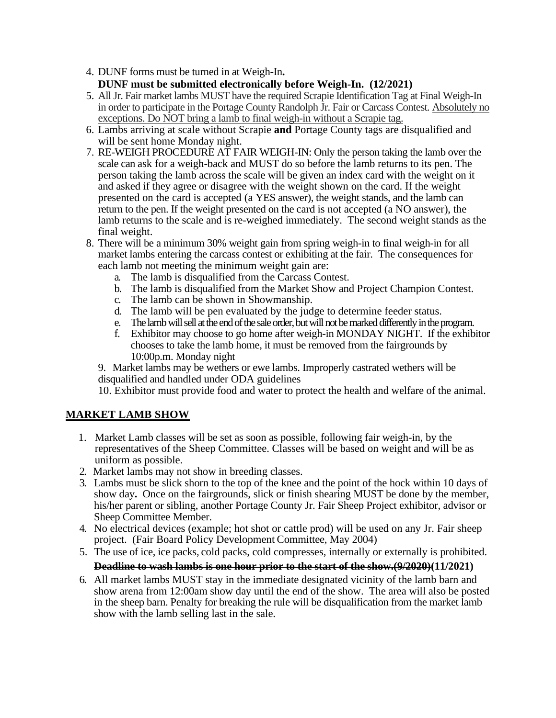# 4. DUNF forms must be turned in at Weigh-In**.**

## **DUNF must be submitted electronically before Weigh-In. (12/2021)**

- 5. All Jr. Fair market lambs MUST have the required Scrapie Identification Tag at Final Weigh-In in order to participate in the Portage County Randolph Jr. Fair or Carcass Contest*.* Absolutely no exceptions. Do NOT bring a lamb to final weigh-in without a Scrapie tag.
- 6. Lambs arriving at scale without Scrapie **and** Portage County tags are disqualified and will be sent home Monday night.
- 7. RE-WEIGH PROCEDURE AT FAIR WEIGH-IN: Only the person taking the lamb over the scale can ask for a weigh-back and MUST do so before the lamb returns to its pen. The person taking the lamb across the scale will be given an index card with the weight on it and asked if they agree or disagree with the weight shown on the card. If the weight presented on the card is accepted (a YES answer), the weight stands, and the lamb can return to the pen. If the weight presented on the card is not accepted (a NO answer), the lamb returns to the scale and is re-weighed immediately. The second weight stands as the final weight.
- 8. There will be a minimum 30% weight gain from spring weigh-in to final weigh-in for all market lambs entering the carcass contest or exhibiting at the fair. The consequences for each lamb not meeting the minimum weight gain are:
	- a. The lamb is disqualified from the Carcass Contest.
	- b. The lamb is disqualified from the Market Show and Project Champion Contest.
	- c. The lamb can be shown in Showmanship.
	- d. The lamb will be pen evaluated by the judge to determine feeder status.
	- e. The lambwillsell at the end of the sale order, but will not be marked differently in the program.
	- f. Exhibitor may choose to go home after weigh-in MONDAY NIGHT. If the exhibitor chooses to take the lamb home, it must be removed from the fairgrounds by 10:00p.m. Monday night

9. Market lambs may be wethers or ewe lambs. Improperly castrated wethers will be disqualified and handled under ODA guidelines

10. Exhibitor must provide food and water to protect the health and welfare of the animal.

## **MARKET LAMB SHOW**

- 1. Market Lamb classes will be set as soon as possible, following fair weigh-in, by the representatives of the Sheep Committee. Classes will be based on weight and will be as uniform as possible.
- 2. Market lambs may not show in breeding classes.
- 3. Lambs must be slick shorn to the top of the knee and the point of the hock within 10 days of show day**.** Once on the fairgrounds, slick or finish shearing MUST be done by the member, his/her parent or sibling, another Portage County Jr. Fair Sheep Project exhibitor, advisor or Sheep Committee Member.
- 4. No electrical devices (example; hot shot or cattle prod) will be used on any Jr. Fair sheep project. (Fair Board Policy Development Committee, May 2004)
- 5. The use of ice, ice packs, cold packs, cold compresses, internally or externally is prohibited. **Deadline to wash lambs is one hour prior to the start of the show.(9/2020)(11/2021)**
- 6. All market lambs MUST stay in the immediate designated vicinity of the lamb barn and show arena from 12:00am show day until the end of the show. The area will also be posted in the sheep barn. Penalty for breaking the rule will be disqualification from the market lamb show with the lamb selling last in the sale.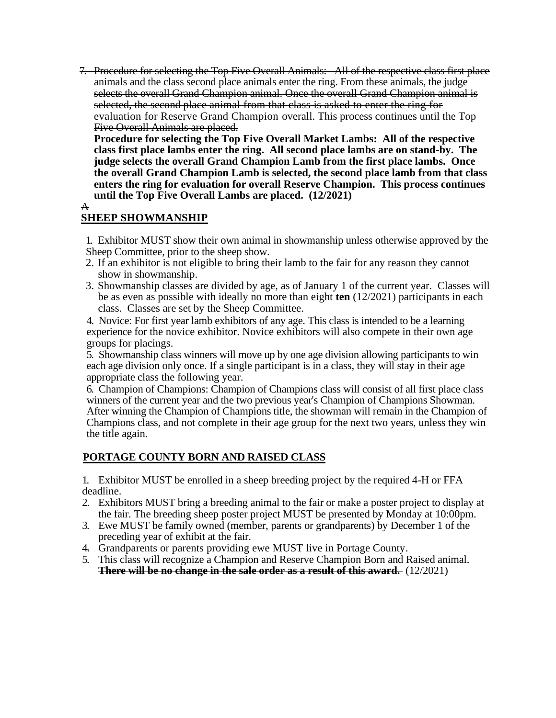7. Procedure for selecting the Top Five Overall Animals: All of the respective class first place animals and the class second place animals enter the ring. From these animals, the judge selects the overall Grand Champion animal. Once the overall Grand Champion animal is selected, the second place animal from that class is asked to enter the ring for evaluation for Reserve Grand Champion overall. This process continues until the Top Five Overall Animals are placed.

**Procedure for selecting the Top Five Overall Market Lambs: All of the respective class first place lambs enter the ring. All second place lambs are on stand-by. The judge selects the overall Grand Champion Lamb from the first place lambs. Once the overall Grand Champion Lamb is selected, the second place lamb from that class enters the ring for evaluation for overall Reserve Champion. This process continues until the Top Five Overall Lambs are placed. (12/2021)**

## A

## **SHEEP SHOWMANSHIP**

1. Exhibitor MUST show their own animal in showmanship unless otherwise approved by the Sheep Committee, prior to the sheep show.

- 2. If an exhibitor is not eligible to bring their lamb to the fair for any reason they cannot show in showmanship.
- 3. Showmanship classes are divided by age, as of January 1 of the current year. Classes will be as even as possible with ideally no more than eight **ten** (12/2021) participants in each class. Classes are set by the Sheep Committee.

4. Novice: For first year lamb exhibitors of any age. This class is intended to be a learning experience for the novice exhibitor. Novice exhibitors will also compete in their own age groups for placings.

5. Showmanship class winners will move up by one age division allowing participants to win each age division only once. If a single participant is in a class, they will stay in their age appropriate class the following year.

6. Champion of Champions: Champion of Champions class will consist of all first place class winners of the current year and the two previous year's Champion of Champions Showman. After winning the Champion of Champions title, the showman will remain in the Champion of Champions class, and not complete in their age group for the next two years, unless they win the title again.

## **PORTAGE COUNTY BORN AND RAISED CLASS**

1. Exhibitor MUST be enrolled in a sheep breeding project by the required 4-H or FFA deadline.

- 2. Exhibitors MUST bring a breeding animal to the fair or make a poster project to display at the fair. The breeding sheep poster project MUST be presented by Monday at 10:00pm.
- 3. Ewe MUST be family owned (member, parents or grandparents) by December 1 of the preceding year of exhibit at the fair.
- 4. Grandparents or parents providing ewe MUST live in Portage County.
- 5. This class will recognize a Champion and Reserve Champion Born and Raised animal. **There will be no change in the sale order as a result of this award.** (12/2021)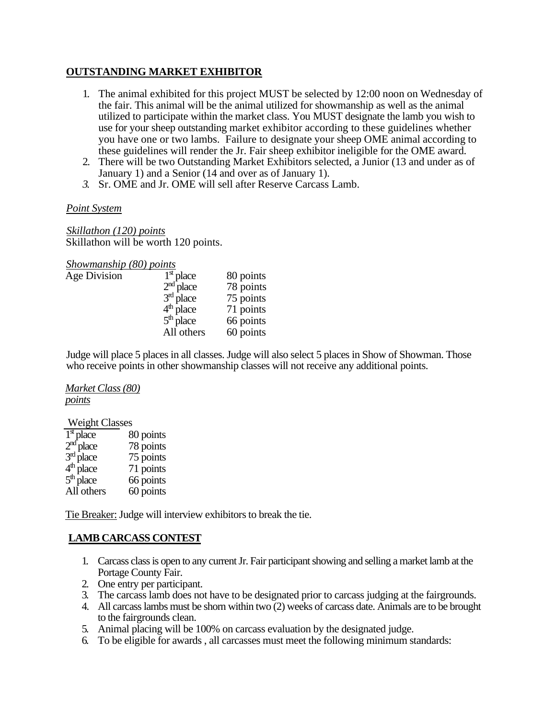## **OUTSTANDING MARKET EXHIBITOR**

- 1. The animal exhibited for this project MUST be selected by 12:00 noon on Wednesday of the fair. This animal will be the animal utilized for showmanship as well as the animal utilized to participate within the market class. You MUST designate the lamb you wish to use for your sheep outstanding market exhibitor according to these guidelines whether you have one or two lambs. Failure to designate your sheep OME animal according to these guidelines will render the Jr. Fair sheep exhibitor ineligible for the OME award.
- 2. There will be two Outstanding Market Exhibitors selected, a Junior (13 and under as of January 1) and a Senior (14 and over as of January 1).
- *3.* Sr. OME and Jr. OME will sell after Reserve Carcass Lamb.

## *Point System*

*Skillathon (120) points* Skillathon will be worth 120 points.

#### *Showmanship (80) points*

| Age Division | $1st$ place | 80 points |
|--------------|-------------|-----------|
|              | $2nd$ place | 78 points |
|              | $3rd$ place | 75 points |
|              | $4th$ place | 71 points |
|              | $5th$ place | 66 points |
|              | All others  | 60 points |

Judge will place 5 places in all classes. Judge will also select 5 places in Show of Showman. Those who receive points in other showmanship classes will not receive any additional points.

#### *Market Class (80) points*

#### Weight Classes

| $1st$ place | 80 points |
|-------------|-----------|
| $2nd$ place | 78 points |
| $3nd$ place | 75 points |
| $4th$ place | 71 points |
| $5th$ place | 66 points |
| All others  | 60 points |

Tie Breaker:Judge will interview exhibitors to break the tie.

# **LAMB CARCASS CONTEST**

- 1. Carcass class is open to any current Jr. Fair participant showing and selling a market lamb at the Portage County Fair.
- 2. One entry per participant.
- 3. The carcass lamb does not have to be designated prior to carcass judging at the fairgrounds.
- 4. All carcass lambs must be shorn within two (2) weeks of carcass date. Animals are to be brought to the fairgrounds clean.
- 5. Animal placing will be 100% on carcass evaluation by the designated judge.
- 6. To be eligible for awards , all carcasses must meet the following minimum standards: